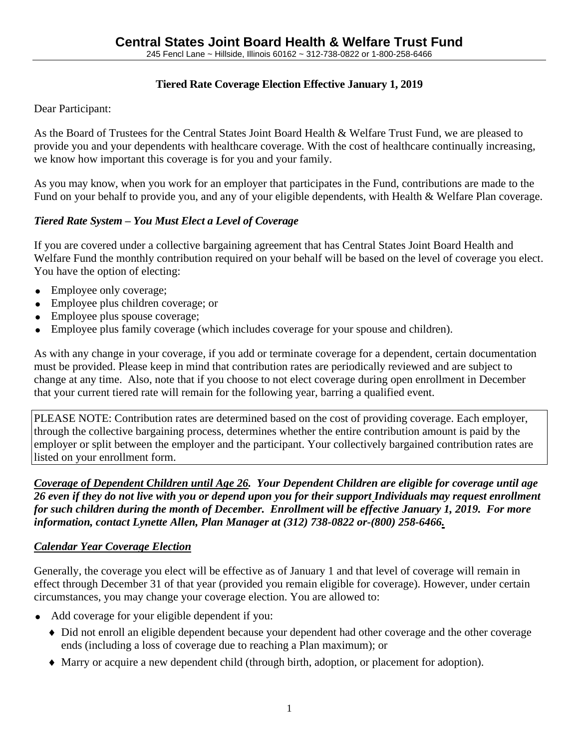## **Tiered Rate Coverage Election Effective January 1, 2019**

Dear Participant:

As the Board of Trustees for the Central States Joint Board Health & Welfare Trust Fund, we are pleased to provide you and your dependents with healthcare coverage. With the cost of healthcare continually increasing, we know how important this coverage is for you and your family.

As you may know, when you work for an employer that participates in the Fund, contributions are made to the Fund on your behalf to provide you, and any of your eligible dependents, with Health & Welfare Plan coverage.

# *Tiered Rate System – You Must Elect a Level of Coverage*

If you are covered under a collective bargaining agreement that has Central States Joint Board Health and Welfare Fund the monthly contribution required on your behalf will be based on the level of coverage you elect. You have the option of electing:

- Employee only coverage;
- Employee plus children coverage; or
- Employee plus spouse coverage;
- Employee plus family coverage (which includes coverage for your spouse and children).

As with any change in your coverage, if you add or terminate coverage for a dependent, certain documentation must be provided. Please keep in mind that contribution rates are periodically reviewed and are subject to change at any time. Also, note that if you choose to not elect coverage during open enrollment in December that your current tiered rate will remain for the following year, barring a qualified event.

PLEASE NOTE: Contribution rates are determined based on the cost of providing coverage. Each employer, through the collective bargaining process, determines whether the entire contribution amount is paid by the employer or split between the employer and the participant. Your collectively bargained contribution rates are listed on your enrollment form.

*Coverage of Dependent Children until Age 26. Your Dependent Children are eligible for coverage until age 26 even if they do not live with you or depend upon you for their support Individuals may request enrollment for such children during the month of December. Enrollment will be effective January 1, 2019. For more information, contact Lynette Allen, Plan Manager at (312) 738-0822 or-(800) 258-6466.*

## *Calendar Year Coverage Election*

Generally, the coverage you elect will be effective as of January 1 and that level of coverage will remain in effect through December 31 of that year (provided you remain eligible for coverage). However, under certain circumstances, you may change your coverage election. You are allowed to:

- Add coverage for your eligible dependent if you:
	- Did not enroll an eligible dependent because your dependent had other coverage and the other coverage ends (including a loss of coverage due to reaching a Plan maximum); or
	- Marry or acquire a new dependent child (through birth, adoption, or placement for adoption).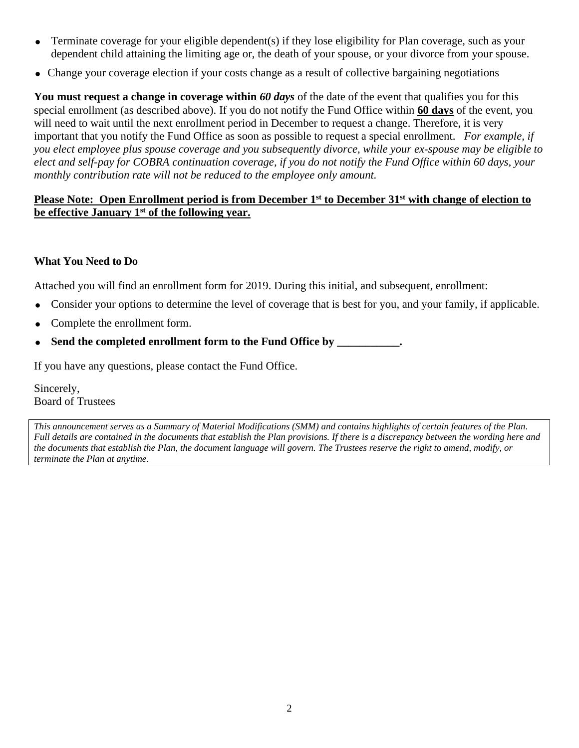- Terminate coverage for your eligible dependent(s) if they lose eligibility for Plan coverage, such as your dependent child attaining the limiting age or, the death of your spouse, or your divorce from your spouse.
- Change your coverage election if your costs change as a result of collective bargaining negotiations

**You must request a change in coverage within** *60 days* of the date of the event that qualifies you for this special enrollment (as described above). If you do not notify the Fund Office within **60 days** of the event, you will need to wait until the next enrollment period in December to request a change. Therefore, it is very important that you notify the Fund Office as soon as possible to request a special enrollment. *For example, if you elect employee plus spouse coverage and you subsequently divorce, while your ex-spouse may be eligible to elect and self-pay for COBRA continuation coverage, if you do not notify the Fund Office within 60 days, your monthly contribution rate will not be reduced to the employee only amount.* 

### **Please Note: Open Enrollment period is from December 1st to December 31st with change of election to be effective January 1st of the following year.**

### **What You Need to Do**

Attached you will find an enrollment form for 2019. During this initial, and subsequent, enrollment:

- Consider your options to determine the level of coverage that is best for you, and your family, if applicable.
- Complete the enrollment form.
- **Send the completed enrollment form to the Fund Office by \_\_\_\_\_\_\_\_\_\_\_.**

If you have any questions, please contact the Fund Office.

Sincerely, Board of Trustees

*This announcement serves as a Summary of Material Modifications (SMM) and contains highlights of certain features of the Plan. Full details are contained in the documents that establish the Plan provisions. If there is a discrepancy between the wording here and the documents that establish the Plan, the document language will govern. The Trustees reserve the right to amend, modify, or terminate the Plan at anytime.*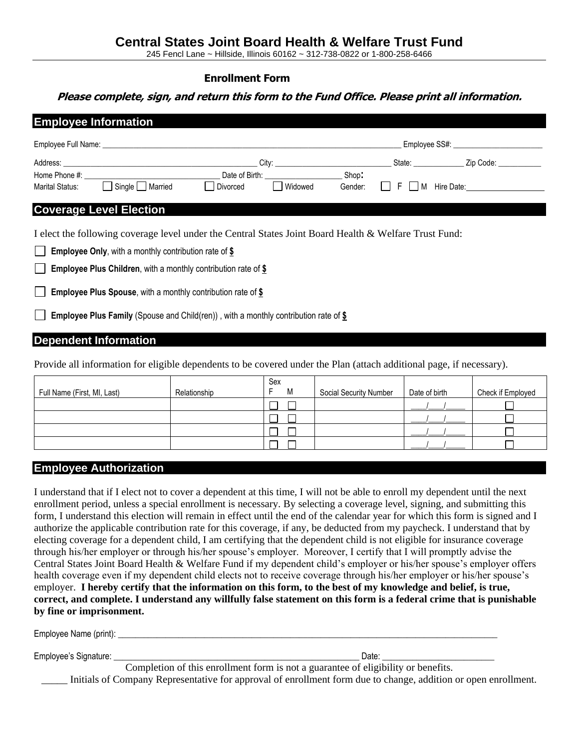245 Fencl Lane ~ Hillside, Illinois 60162 ~ 312-738-0822 or 1-800-258-6466

#### **Enrollment Form**

#### **Please complete, sign, and return this form to the Fund Office. Please print all information.**

|  |                                                                                                                      |                                        |                 |  | Employee SS#: ___________________________ |
|--|----------------------------------------------------------------------------------------------------------------------|----------------------------------------|-----------------|--|-------------------------------------------|
|  |                                                                                                                      |                                        |                 |  |                                           |
|  | Home Phone #:<br>Marital Status: <b>Depending Single De</b> Married                                                  | Date of Birth: Shop: Shop:<br>Divorced | Widowed Gender: |  | $\Box$ F $\Box$ M Hire Date:              |
|  | <b>Coverage Level Election</b>                                                                                       |                                        |                 |  |                                           |
|  | I elect the following coverage level under the Central States Joint Board Health & Welfare Trust Fund:               |                                        |                 |  |                                           |
|  | <b>Employee Only, with a monthly contribution rate of <math>\frac{6}{5}</math></b>                                   |                                        |                 |  |                                           |
|  | <b>Employee Plus Children, with a monthly contribution rate of <math>\frac{6}{3}</math></b>                          |                                        |                 |  |                                           |
|  | <b>Employee Plus Spouse, with a monthly contribution rate of \$</b>                                                  |                                        |                 |  |                                           |
|  | <b>Employee Plus Family</b> (Spouse and Child(ren)), with a monthly contribution rate of $$$                         |                                        |                 |  |                                           |
|  | <b>Dependent Information</b>                                                                                         |                                        |                 |  |                                           |
|  | Provide all information for eligible dependents to be covered under the Plan (attach additional page, if necessary). |                                        |                 |  |                                           |

| Full Name (First, MI, Last) | Relationship | Sex<br>M | Social Security Number | Date of birth | Check if Employed |
|-----------------------------|--------------|----------|------------------------|---------------|-------------------|
|                             |              |          |                        |               |                   |
|                             |              |          |                        |               |                   |
|                             |              |          |                        |               |                   |
|                             |              |          |                        |               |                   |

#### **Employee Authorization**

I understand that if I elect not to cover a dependent at this time, I will not be able to enroll my dependent until the next enrollment period, unless a special enrollment is necessary. By selecting a coverage level, signing, and submitting this form, I understand this election will remain in effect until the end of the calendar year for which this form is signed and I authorize the applicable contribution rate for this coverage, if any, be deducted from my paycheck. I understand that by electing coverage for a dependent child, I am certifying that the dependent child is not eligible for insurance coverage through his/her employer or through his/her spouse's employer. Moreover, I certify that I will promptly advise the Central States Joint Board Health & Welfare Fund if my dependent child's employer or his/her spouse's employer offers health coverage even if my dependent child elects not to receive coverage through his/her employer or his/her spouse's employer. **I hereby certify that the information on this form, to the best of my knowledge and belief, is true, correct, and complete. I understand any willfully false statement on this form is a federal crime that is punishable by fine or imprisonment.**

| Employee Name (print): |                                                                                   |  |
|------------------------|-----------------------------------------------------------------------------------|--|
| Employee's Signature:  | Date:                                                                             |  |
|                        | Completion of this enrollment form is not a guarantee of eligibility or benefits. |  |

\_\_\_\_\_ Initials of Company Representative for approval of enrollment form due to change, addition or open enrollment.